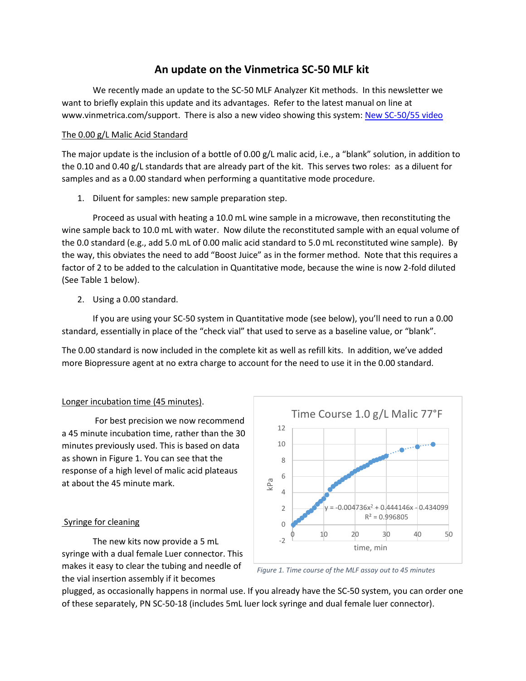# **An update on the Vinmetrica SC-50 MLF kit**

We recently made an update to the SC-50 MLF Analyzer Kit methods. In this newsletter we want to briefly explain this update and its advantages. Refer to the latest manual on line at www.vinmetrica.com/support. There is also a new video showing this system: [New SC-50/55 video](https://www.youtube.com/watch?v=vEP6zM5EBJI)

### The 0.00 g/L Malic Acid Standard

The major update is the inclusion of a bottle of 0.00 g/L malic acid, i.e., a "blank" solution, in addition to the 0.10 and 0.40 g/L standards that are already part of the kit. This serves two roles: as a diluent for samples and as a 0.00 standard when performing a quantitative mode procedure.

1. Diluent for samples: new sample preparation step.

Proceed as usual with heating a 10.0 mL wine sample in a microwave, then reconstituting the wine sample back to 10.0 mL with water. Now dilute the reconstituted sample with an equal volume of the 0.0 standard (e.g., add 5.0 mL of 0.00 malic acid standard to 5.0 mL reconstituted wine sample). By the way, this obviates the need to add "Boost Juice" as in the former method. Note that this requires a factor of 2 to be added to the calculation in Quantitative mode, because the wine is now 2-fold diluted (See Table 1 below).

2. Using a 0.00 standard.

If you are using your SC-50 system in Quantitative mode (see below), you'll need to run a 0.00 standard, essentially in place of the "check vial" that used to serve as a baseline value, or "blank".

The 0.00 standard is now included in the complete kit as well as refill kits. In addition, we've added more Biopressure agent at no extra charge to account for the need to use it in the 0.00 standard.

## Longer incubation time (45 minutes).

For best precision we now recommend a 45 minute incubation time, rather than the 30 minutes previously used. This is based on data as shown in Figure 1. You can see that the response of a high level of malic acid plateaus at about the 45 minute mark.

## Syringe for cleaning

The new kits now provide a 5 mL syringe with a dual female Luer connector. This makes it easy to clear the tubing and needle of the vial insertion assembly if it becomes



*Figure 1. Time course of the MLF assay out to 45 minutes*

plugged, as occasionally happens in normal use. If you already have the SC-50 system, you can order one of these separately, PN SC-50-18 (includes 5mL luer lock syringe and dual female luer connector).